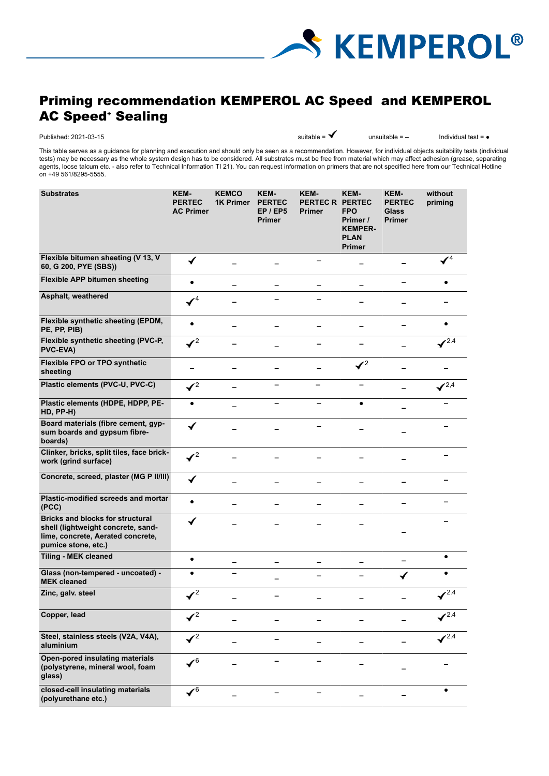

# Priming recommendation KEMPEROL AC Speed and KEMPEROL AC Speed<sup>.</sup> Sealing

Published: 2021-03-15 **a** and a suitable = ■ **a** and a suitable = ■ **a** and a limit of a suitable = ■ **Parameter = ■** 

This table serves as a guidance for planning and execution and should only be seen as a recommendation. However, for individual objects suitability tests (individual tests) may be necessary as the whole system design has to be considered. All substrates must be free from material which may affect adhesion (grease, separating agents, loose talcum etc. - also refer to Technical Information TI 21). You can request information on primers that are not specified here from our Technical Hotline on +49 561/8295-5555.

| <b>Substrates</b>                                                                                                                         | KEM-<br><b>PERTEC</b><br><b>AC Primer</b> | <b>KEMCO</b><br><b>1K Primer</b> | <b>KEM-</b><br><b>PERTEC</b><br>EP / EP5<br><b>Primer</b> | KEM-<br>PERTEC R PERTEC<br>Primer | KEM-<br><b>FPO</b><br>Primer /<br><b>KEMPER-</b><br><b>PLAN</b><br><b>Primer</b> | KEM-<br><b>PERTEC</b><br><b>Glass</b><br><b>Primer</b> | without<br>priming |
|-------------------------------------------------------------------------------------------------------------------------------------------|-------------------------------------------|----------------------------------|-----------------------------------------------------------|-----------------------------------|----------------------------------------------------------------------------------|--------------------------------------------------------|--------------------|
| Flexible bitumen sheeting (V 13, V<br>60, G 200, PYE (SBS))                                                                               | $\checkmark$                              |                                  |                                                           |                                   |                                                                                  |                                                        | $\mathcal{V}^4$    |
| Flexible APP bitumen sheeting                                                                                                             | $\bullet$                                 |                                  |                                                           |                                   |                                                                                  |                                                        | $\bullet$          |
| Asphalt, weathered                                                                                                                        | $\checkmark$ <sup>4</sup>                 |                                  |                                                           |                                   |                                                                                  |                                                        |                    |
| Flexible synthetic sheeting (EPDM,<br>PE, PP, PIB)                                                                                        | $\bullet$                                 |                                  |                                                           |                                   |                                                                                  |                                                        |                    |
| Flexible synthetic sheeting (PVC-P,<br><b>PVC-EVA)</b>                                                                                    | $\mathcal{V}^2$                           |                                  |                                                           |                                   |                                                                                  |                                                        | $\sqrt{2.4}$       |
| Flexible FPO or TPO synthetic<br>sheeting                                                                                                 |                                           |                                  |                                                           |                                   | $\mathcal{V}^2$                                                                  |                                                        |                    |
| Plastic elements (PVC-U, PVC-C)                                                                                                           | $\mathcal{I}^2$                           | -                                |                                                           |                                   |                                                                                  |                                                        | $\sqrt{2.4}$       |
| Plastic elements (HDPE, HDPP, PE-<br>HD, PP-H)                                                                                            | $\bullet$                                 |                                  |                                                           |                                   | $\bullet$                                                                        |                                                        |                    |
| Board materials (fibre cement, gyp-<br>sum boards and gypsum fibre-<br>boards)                                                            | ✔                                         |                                  |                                                           |                                   |                                                                                  |                                                        |                    |
| Clinker, bricks, split tiles, face brick-<br>work (grind surface)                                                                         | $\mathcal{I}^2$                           |                                  |                                                           |                                   |                                                                                  |                                                        |                    |
| Concrete, screed, plaster (MG P II/III)                                                                                                   | ✔                                         |                                  |                                                           |                                   |                                                                                  |                                                        |                    |
| Plastic-modified screeds and mortar<br>(PCC)                                                                                              | $\bullet$                                 |                                  |                                                           |                                   |                                                                                  |                                                        |                    |
| <b>Bricks and blocks for structural</b><br>shell (lightweight concrete, sand-<br>lime, concrete, Aerated concrete,<br>pumice stone, etc.) | ✔                                         |                                  |                                                           |                                   |                                                                                  |                                                        |                    |
| <b>Tiling - MEK cleaned</b>                                                                                                               | $\bullet$                                 |                                  |                                                           |                                   |                                                                                  |                                                        | $\bullet$          |
| Glass (non-tempered - uncoated) -<br><b>MEK cleaned</b>                                                                                   |                                           |                                  |                                                           |                                   |                                                                                  | ✔                                                      |                    |
| Zinc, galv. steel                                                                                                                         | $\sqrt{2}$                                |                                  |                                                           |                                   |                                                                                  |                                                        | $\sqrt{2.4}$       |
| Copper, lead                                                                                                                              | $\mathcal{I}^2$                           |                                  |                                                           |                                   |                                                                                  |                                                        | 2.4                |
| Steel, stainless steels (V2A, V4A),<br>aluminium                                                                                          | $\mathcal{I}^2$                           |                                  |                                                           |                                   |                                                                                  |                                                        | ✔2.4               |
| Open-pored insulating materials<br>(polystyrene, mineral wool, foam<br>glass)                                                             | $\boldsymbol{\checkmark}$                 |                                  |                                                           |                                   |                                                                                  |                                                        |                    |
| closed-cell insulating materials<br>(polyurethane etc.)                                                                                   | $\checkmark$ <sup>6</sup>                 |                                  |                                                           |                                   |                                                                                  |                                                        |                    |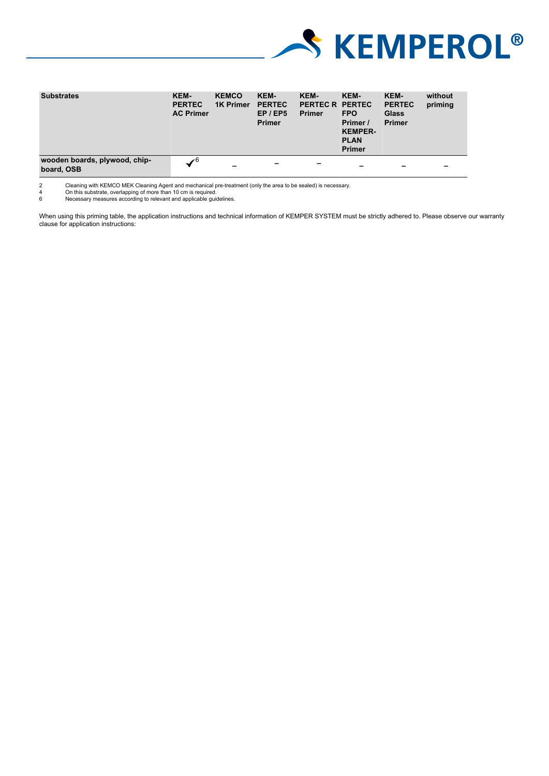

| <b>Substrates</b>                           | KEM-<br><b>PERTEC</b><br><b>AC Primer</b> | <b>KEMCO</b><br><b>1K Primer</b> | KEM-<br><b>PERTEC</b><br>EP / EP5<br><b>Primer</b> | KEM-<br>PERTEC R PERTEC<br><b>Primer</b> | KEM-<br><b>FPO</b><br>Primer /<br><b>KEMPER-</b><br><b>PLAN</b><br><b>Primer</b> | <b>KEM-</b><br><b>PERTEC</b><br><b>Glass</b><br><b>Primer</b> | without<br>priming |
|---------------------------------------------|-------------------------------------------|----------------------------------|----------------------------------------------------|------------------------------------------|----------------------------------------------------------------------------------|---------------------------------------------------------------|--------------------|
| wooden boards, plywood, chip-<br>board, OSB | $\checkmark$ <sup>6</sup>                 | $\overline{\phantom{0}}$         | -                                                  | -                                        | -                                                                                | $\overline{\phantom{0}}$                                      | -                  |

2 Cleaning with KEMCO MEK Cleaning Agent and mechanical pre-treatment (only the area to be sealed) is necessary. 4 On this substrate, overlapping of more than 10 cm is required. 6 Necessary measures according to relevant and applicable guidelines.

When using this priming table, the application instructions and technical information of KEMPER SYSTEM must be strictly adhered to. Please observe our warranty clause for application instructions: